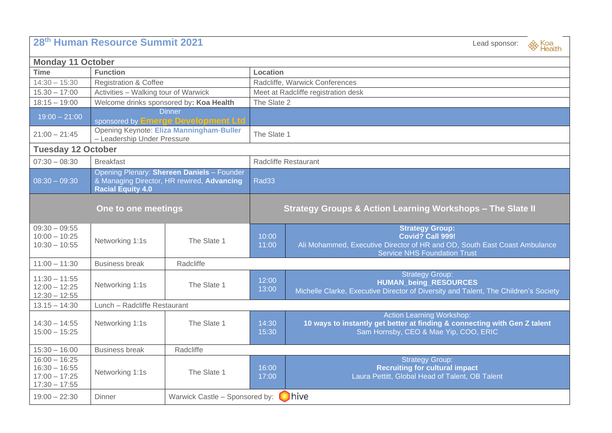| 28th Human Resource Summit 2021                                          | Lead sponsor:<br><sup><sup><sup><i>i</i></sup>s</sup> Health</sup>                                                   |                                                 |                                                            |                                                                                                                                                                |  |  |  |
|--------------------------------------------------------------------------|----------------------------------------------------------------------------------------------------------------------|-------------------------------------------------|------------------------------------------------------------|----------------------------------------------------------------------------------------------------------------------------------------------------------------|--|--|--|
| <b>Monday 11 October</b>                                                 |                                                                                                                      |                                                 |                                                            |                                                                                                                                                                |  |  |  |
| <b>Time</b>                                                              | <b>Function</b>                                                                                                      |                                                 | Location                                                   |                                                                                                                                                                |  |  |  |
| $14:30 - 15:30$                                                          | <b>Registration &amp; Coffee</b>                                                                                     |                                                 | Radcliffe, Warwick Conferences                             |                                                                                                                                                                |  |  |  |
| $15.30 - 17:00$                                                          | Activities - Walking tour of Warwick                                                                                 |                                                 | Meet at Radcliffe registration desk                        |                                                                                                                                                                |  |  |  |
| $18:15 - 19:00$                                                          | Welcome drinks sponsored by: Koa Health                                                                              |                                                 | The Slate 2                                                |                                                                                                                                                                |  |  |  |
| $19:00 - 21:00$                                                          | <b>Dinner</b><br>sponsored by <b>Emerge Development Ltd</b>                                                          |                                                 |                                                            |                                                                                                                                                                |  |  |  |
| $21:00 - 21:45$                                                          | Opening Keynote: Eliza Manningham-Buller<br>- Leadership Under Pressure                                              |                                                 | The Slate 1                                                |                                                                                                                                                                |  |  |  |
| <b>Tuesday 12 October</b>                                                |                                                                                                                      |                                                 |                                                            |                                                                                                                                                                |  |  |  |
| $07:30 - 08:30$                                                          | <b>Breakfast</b>                                                                                                     |                                                 | <b>Radcliffe Restaurant</b>                                |                                                                                                                                                                |  |  |  |
| $08:30 - 09:30$                                                          | Opening Plenary: Shereen Daniels - Founder<br>& Managing Director, HR rewired, Advancing<br><b>Racial Equity 4.0</b> |                                                 | Rad <sub>33</sub>                                          |                                                                                                                                                                |  |  |  |
|                                                                          | One to one meetings                                                                                                  |                                                 | Strategy Groups & Action Learning Workshops - The Slate II |                                                                                                                                                                |  |  |  |
| $09:30 - 09:55$<br>$10:00 - 10:25$<br>$10:30 - 10:55$                    | Networking 1:1s                                                                                                      | The Slate 1                                     | 10:00<br>11:00                                             | <b>Strategy Group:</b><br>Covid? Call 999!<br>Ali Mohammed, Executive Director of HR and OD, South East Coast Ambulance<br><b>Service NHS Foundation Trust</b> |  |  |  |
| $11:00 - 11:30$                                                          | <b>Business break</b>                                                                                                | Radcliffe                                       |                                                            |                                                                                                                                                                |  |  |  |
| $11:30 - 11:55$<br>$12:00 - 12:25$<br>$12:30 - 12:55$                    | Networking 1:1s                                                                                                      | The Slate 1                                     | 12:00<br>13:00                                             | <b>Strategy Group:</b><br><b>HUMAN_being_RESOURCES</b><br>Michelle Clarke, Executive Director of Diversity and Talent, The Children's Society                  |  |  |  |
| $13.15 - 14:30$                                                          | Lunch - Radcliffe Restaurant                                                                                         |                                                 |                                                            |                                                                                                                                                                |  |  |  |
| $14:30 - 14:55$<br>$15:00 - 15:25$                                       | Networking 1:1s                                                                                                      | The Slate 1                                     | 14:30<br>15:30                                             | Action Learning Workshop:<br>10 ways to instantly get better at finding & connecting with Gen Z talent<br>Sam Hornsby, CEO & Mae Yip, COO, ERIC                |  |  |  |
| $15:30 - 16:00$                                                          | <b>Business break</b>                                                                                                | Radcliffe                                       |                                                            |                                                                                                                                                                |  |  |  |
| $16:00 - 16:25$<br>$16:30 - 16:55$<br>$17:00 - 17:25$<br>$17:30 - 17:55$ | Networking 1:1s                                                                                                      | The Slate 1                                     | 16:00<br>17:00                                             | <b>Strategy Group:</b><br><b>Recruiting for cultural impact</b><br>Laura Pettitt, Global Head of Talent, OB Talent                                             |  |  |  |
| $19:00 - 22:30$                                                          | Dinner                                                                                                               | <b>D</b> hive<br>Warwick Castle - Sponsored by: |                                                            |                                                                                                                                                                |  |  |  |